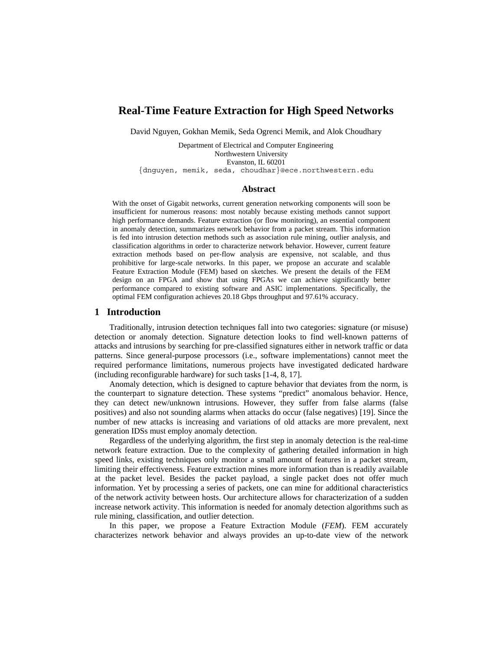# **Real-Time Feature Extraction for High Speed Networks**

David Nguyen, Gokhan Memik, Seda Ogrenci Memik, and Alok Choudhary

Department of Electrical and Computer Engineering Northwestern University Evanston, IL 60201 {dnguyen, memik, seda, choudhar}@ece.northwestern.edu

#### **Abstract**

With the onset of Gigabit networks, current generation networking components will soon be insufficient for numerous reasons: most notably because existing methods cannot support high performance demands. Feature extraction (or flow monitoring), an essential component in anomaly detection, summarizes network behavior from a packet stream. This information is fed into intrusion detection methods such as association rule mining, outlier analysis, and classification algorithms in order to characterize network behavior. However, current feature extraction methods based on per-flow analysis are expensive, not scalable, and thus prohibitive for large-scale networks. In this paper, we propose an accurate and scalable Feature Extraction Module (FEM) based on sketches. We present the details of the FEM design on an FPGA and show that using FPGAs we can achieve significantly better performance compared to existing software and ASIC implementations. Specifically, the optimal FEM configuration achieves 20.18 Gbps throughput and 97.61% accuracy.

### **1 Introduction**

Traditionally, intrusion detection techniques fall into two categories: signature (or misuse) detection or anomaly detection. Signature detection looks to find well-known patterns of attacks and intrusions by searching for pre-classified signatures either in network traffic or data patterns. Since general-purpose processors (i.e., software implementations) cannot meet the required performance limitations, numerous projects have investigated dedicated hardware (including reconfigurable hardware) for such tasks [1-4, 8, 17].

Anomaly detection, which is designed to capture behavior that deviates from the norm, is the counterpart to signature detection. These systems "predict" anomalous behavior. Hence, they can detect new/unknown intrusions. However, they suffer from false alarms (false positives) and also not sounding alarms when attacks do occur (false negatives) [19]. Since the number of new attacks is increasing and variations of old attacks are more prevalent, next generation IDSs must employ anomaly detection.

Regardless of the underlying algorithm, the first step in anomaly detection is the real-time network feature extraction. Due to the complexity of gathering detailed information in high speed links, existing techniques only monitor a small amount of features in a packet stream, limiting their effectiveness. Feature extraction mines more information than is readily available at the packet level. Besides the packet payload, a single packet does not offer much information. Yet by processing a series of packets, one can mine for additional characteristics of the network activity between hosts. Our architecture allows for characterization of a sudden increase network activity. This information is needed for anomaly detection algorithms such as rule mining, classification, and outlier detection.

In this paper, we propose a Feature Extraction Module (*FEM*). FEM accurately characterizes network behavior and always provides an up-to-date view of the network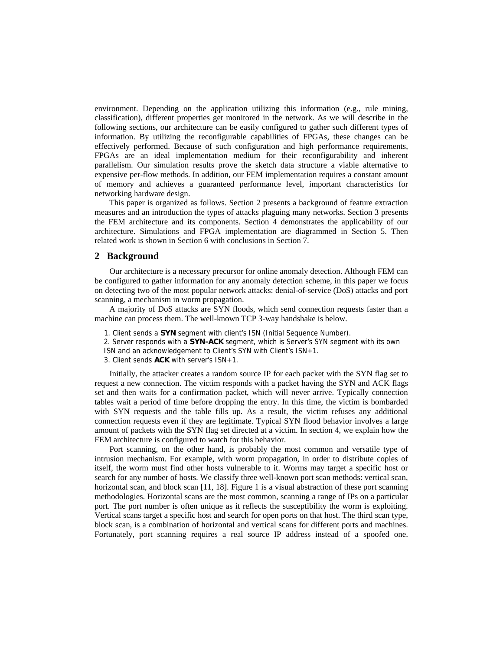environment. Depending on the application utilizing this information (e.g., rule mining, classification), different properties get monitored in the network. As we will describe in the following sections, our architecture can be easily configured to gather such different types of information. By utilizing the reconfigurable capabilities of FPGAs, these changes can be effectively performed. Because of such configuration and high performance requirements, FPGAs are an ideal implementation medium for their reconfigurability and inherent parallelism. Our simulation results prove the sketch data structure a viable alternative to expensive per-flow methods. In addition, our FEM implementation requires a constant amount of memory and achieves a guaranteed performance level, important characteristics for networking hardware design.

This paper is organized as follows. Section 2 presents a background of feature extraction measures and an introduction the types of attacks plaguing many networks. Section 3 presents the FEM architecture and its components. Section 4 demonstrates the applicability of our architecture. Simulations and FPGA implementation are diagrammed in Section 5. Then related work is shown in Section 6 with conclusions in Section 7.

### **2 Background**

Our architecture is a necessary precursor for online anomaly detection. Although FEM can be configured to gather information for any anomaly detection scheme, in this paper we focus on detecting two of the most popular network attacks: denial-of-service (DoS) attacks and port scanning, a mechanism in worm propagation.

A majority of DoS attacks are SYN floods, which send connection requests faster than a machine can process them. The well-known TCP 3-way handshake is below.

- 1. Client sends a **SYN** segment with client's ISN (Initial Sequence Number).
- 2. Server responds with a **SYN-ACK** segment, which is Server's SYN segment with its own
- ISN and an acknowledgement to Client's SYN with Client's ISN+1.
- 3. Client sends **ACK** with server's ISN+1.

Initially, the attacker creates a random source IP for each packet with the SYN flag set to request a new connection. The victim responds with a packet having the SYN and ACK flags set and then waits for a confirmation packet, which will never arrive. Typically connection tables wait a period of time before dropping the entry. In this time, the victim is bombarded with SYN requests and the table fills up. As a result, the victim refuses any additional connection requests even if they are legitimate. Typical SYN flood behavior involves a large amount of packets with the SYN flag set directed at a victim. In section 4, we explain how the FEM architecture is configured to watch for this behavior.

Port scanning, on the other hand, is probably the most common and versatile type of intrusion mechanism. For example, with worm propagation, in order to distribute copies of itself, the worm must find other hosts vulnerable to it. Worms may target a specific host or search for any number of hosts. We classify three well-known port scan methods: vertical scan, horizontal scan, and block scan [11, 18]. Figure 1 is a visual abstraction of these port scanning methodologies. Horizontal scans are the most common, scanning a range of IPs on a particular port. The port number is often unique as it reflects the susceptibility the worm is exploiting. Vertical scans target a specific host and search for open ports on that host. The third scan type, block scan, is a combination of horizontal and vertical scans for different ports and machines. Fortunately, port scanning requires a real source IP address instead of a spoofed one.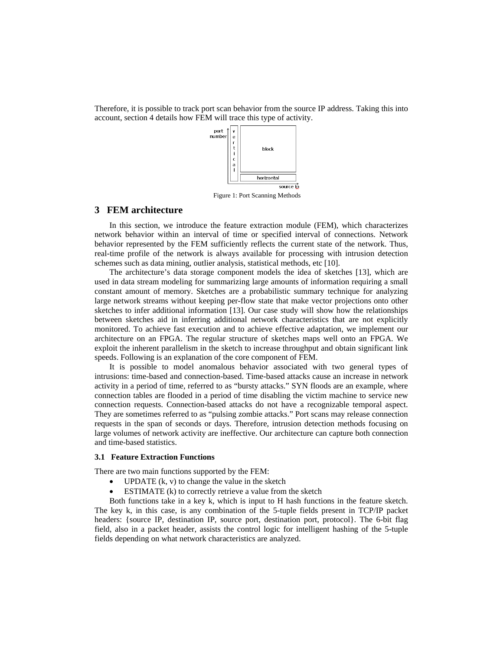Therefore, it is possible to track port scan behavior from the source IP address. Taking this into account, section 4 details how FEM will trace this type of activity.



Figure 1: Port Scanning Methods

## **3 FEM architecture**

In this section, we introduce the feature extraction module (FEM), which characterizes network behavior within an interval of time or specified interval of connections. Network behavior represented by the FEM sufficiently reflects the current state of the network. Thus, real-time profile of the network is always available for processing with intrusion detection schemes such as data mining, outlier analysis, statistical methods, etc [10].

The architecture's data storage component models the idea of sketches [13], which are used in data stream modeling for summarizing large amounts of information requiring a small constant amount of memory. Sketches are a probabilistic summary technique for analyzing large network streams without keeping per-flow state that make vector projections onto other sketches to infer additional information [13]. Our case study will show how the relationships between sketches aid in inferring additional network characteristics that are not explicitly monitored. To achieve fast execution and to achieve effective adaptation, we implement our architecture on an FPGA. The regular structure of sketches maps well onto an FPGA. We exploit the inherent parallelism in the sketch to increase throughput and obtain significant link speeds. Following is an explanation of the core component of FEM.

It is possible to model anomalous behavior associated with two general types of intrusions: time-based and connection-based. Time-based attacks cause an increase in network activity in a period of time, referred to as "bursty attacks." SYN floods are an example, where connection tables are flooded in a period of time disabling the victim machine to service new connection requests. Connection-based attacks do not have a recognizable temporal aspect. They are sometimes referred to as "pulsing zombie attacks." Port scans may release connection requests in the span of seconds or days. Therefore, intrusion detection methods focusing on large volumes of network activity are ineffective. Our architecture can capture both connection and time-based statistics.

#### **3.1 Feature Extraction Functions**

There are two main functions supported by the FEM:

- UPDATE  $(k, v)$  to change the value in the sketch
- ESTIMATE (k) to correctly retrieve a value from the sketch

Both functions take in a key k, which is input to H hash functions in the feature sketch. The key k, in this case, is any combination of the 5-tuple fields present in TCP/IP packet headers: {source IP, destination IP, source port, destination port, protocol}. The 6-bit flag field, also in a packet header, assists the control logic for intelligent hashing of the 5-tuple fields depending on what network characteristics are analyzed.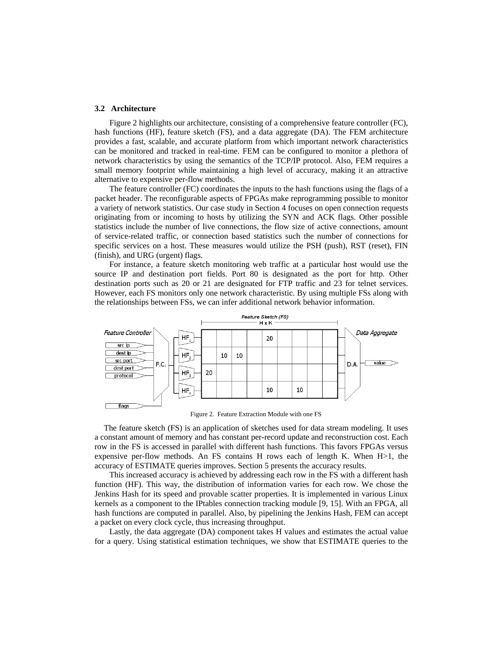### **3.2 Architecture**

Figure 2 highlights our architecture, consisting of a comprehensive feature controller (FC), hash functions (HF), feature sketch (FS), and a data aggregate (DA). The FEM architecture provides a fast, scalable, and accurate platform from which important network characteristics can be monitored and tracked in real-time. FEM can be configured to monitor a plethora of network characteristics by using the semantics of the TCP/IP protocol. Also, FEM requires a small memory footprint while maintaining a high level of accuracy, making it an attractive alternative to expensive per-flow methods.

The feature controller (FC) coordinates the inputs to the hash functions using the flags of a packet header. The reconfigurable aspects of FPGAs make reprogramming possible to monitor a variety of network statistics. Our case study in Section 4 focuses on open connection requests originating from or incoming to hosts by utilizing the SYN and ACK flags. Other possible statistics include the number of live connections, the flow size of active connections, amount of service-related traffic, or connection based statistics such the number of connections for specific services on a host. These measures would utilize the PSH (push), RST (reset), FIN (finish), and URG (urgent) flags.

For instance, a feature sketch monitoring web traffic at a particular host would use the source IP and destination port fields. Port 80 is designated as the port for http. Other destination ports such as 20 or 21 are designated for FTP traffic and 23 for telnet services. However, each FS monitors only one network characteristic. By using multiple FSs along with the relationships between FSs, we can infer additional network behavior information.





The feature sketch (FS) is an application of sketches used for data stream modeling. It uses a constant amount of memory and has constant per-record update and reconstruction cost. Each row in the FS is accessed in parallel with different hash functions. This favors FPGAs versus expensive per-flow methods. An FS contains H rows each of length K. When  $H>1$ , the accuracy of ESTIMATE queries improves. Section 5 presents the accuracy results.

This increased accuracy is achieved by addressing each row in the FS with a different hash function (HF). This way, the distribution of information varies for each row. We chose the Jenkins Hash for its speed and provable scatter properties. It is implemented in various Linux kernels as a component to the IPtables connection tracking module [9, 15]. With an FPGA, all hash functions are computed in parallel. Also, by pipelining the Jenkins Hash, FEM can accept a packet on every clock cycle, thus increasing throughput.

Lastly, the data aggregate (DA) component takes H values and estimates the actual value for a query. Using statistical estimation techniques, we show that ESTIMATE queries to the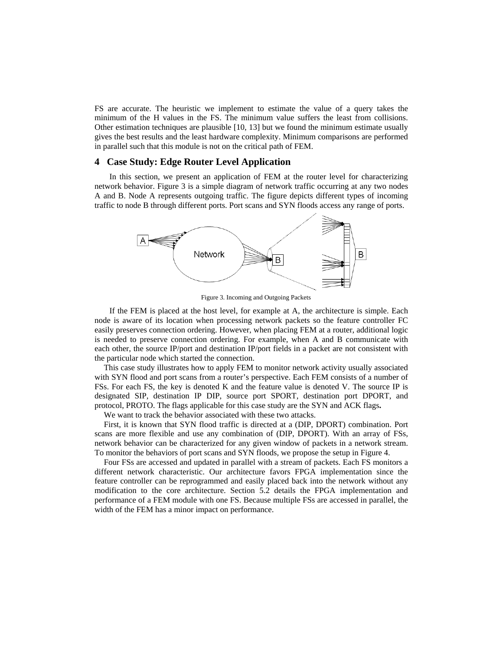FS are accurate. The heuristic we implement to estimate the value of a query takes the minimum of the H values in the FS. The minimum value suffers the least from collisions. Other estimation techniques are plausible [10, 13] but we found the minimum estimate usually gives the best results and the least hardware complexity. Minimum comparisons are performed in parallel such that this module is not on the critical path of FEM.

### **4 Case Study: Edge Router Level Application**

In this section, we present an application of FEM at the router level for characterizing network behavior. Figure 3 is a simple diagram of network traffic occurring at any two nodes A and B. Node A represents outgoing traffic. The figure depicts different types of incoming traffic to node B through different ports. Port scans and SYN floods access any range of ports.



Figure 3. Incoming and Outgoing Packets

If the FEM is placed at the host level, for example at A, the architecture is simple. Each node is aware of its location when processing network packets so the feature controller FC easily preserves connection ordering. However, when placing FEM at a router, additional logic is needed to preserve connection ordering. For example, when A and B communicate with each other, the source IP/port and destination IP/port fields in a packet are not consistent with the particular node which started the connection.

This case study illustrates how to apply FEM to monitor network activity usually associated with SYN flood and port scans from a router's perspective. Each FEM consists of a number of FSs. For each FS, the key is denoted K and the feature value is denoted V. The source IP is designated SIP, destination IP DIP, source port SPORT, destination port DPORT, and protocol, PROTO. The flags applicable for this case study are the SYN and ACK flags**.** 

We want to track the behavior associated with these two attacks.

First, it is known that SYN flood traffic is directed at a (DIP, DPORT) combination. Port scans are more flexible and use any combination of (DIP, DPORT). With an array of FSs, network behavior can be characterized for any given window of packets in a network stream. To monitor the behaviors of port scans and SYN floods, we propose the setup in Figure 4.

Four FSs are accessed and updated in parallel with a stream of packets. Each FS monitors a different network characteristic. Our architecture favors FPGA implementation since the feature controller can be reprogrammed and easily placed back into the network without any modification to the core architecture. Section 5.2 details the FPGA implementation and performance of a FEM module with one FS. Because multiple FSs are accessed in parallel, the width of the FEM has a minor impact on performance.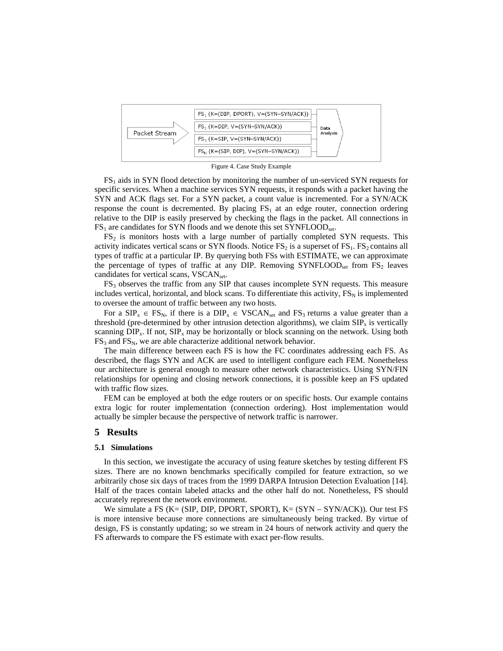

Figure 4. Case Study Example

 $FS<sub>1</sub>$  aids in SYN flood detection by monitoring the number of un-serviced SYN requests for specific services. When a machine services SYN requests, it responds with a packet having the SYN and ACK flags set. For a SYN packet, a count value is incremented. For a SYN/ACK response the count is decremented. By placing  $FS<sub>1</sub>$  at an edge router, connection ordering relative to the DIP is easily preserved by checking the flags in the packet. All connections in  $FS<sub>1</sub>$  are candidates for SYN floods and we denote this set SYNFLOOD<sub>set</sub>.

 $FS<sub>2</sub>$  is monitors hosts with a large number of partially completed SYN requests. This activity indicates vertical scans or SYN floods. Notice  $FS_2$  is a superset of  $FS_1$ .  $FS_2$  contains all types of traffic at a particular IP. By querying both FSs with ESTIMATE, we can approximate the percentage of types of traffic at any DIP. Removing SYNFLOOD<sub>set</sub> from  $FS<sub>2</sub>$  leaves candidates for vertical scans, VSCAN<sub>set</sub>.

 $FS<sub>3</sub>$  observes the traffic from any SIP that causes incomplete SYN requests. This measure includes vertical, horizontal, and block scans. To differentiate this activity,  $FS_N$  is implemented to oversee the amount of traffic between any two hosts.

For a  $SIP_x \in FS_N$ , if there is a  $DIP_x \in VSCAN_{set}$  and  $FS_3$  returns a value greater than a threshold (pre-determined by other intrusion detection algorithms), we claim  $\text{SIP}_x$  is vertically scanning  $DIP_x$ . If not,  $SIP_x$  may be horizontally or block scanning on the network. Using both  $FS<sub>3</sub>$  and  $FS<sub>N</sub>$ , we are able characterize additional network behavior.

The main difference between each FS is how the FC coordinates addressing each FS. As described, the flags SYN and ACK are used to intelligent configure each FEM. Nonetheless our architecture is general enough to measure other network characteristics. Using SYN/FIN relationships for opening and closing network connections, it is possible keep an FS updated with traffic flow sizes.

FEM can be employed at both the edge routers or on specific hosts. Our example contains extra logic for router implementation (connection ordering). Host implementation would actually be simpler because the perspective of network traffic is narrower.

#### **5 Results**

#### **5.1 Simulations**

In this section, we investigate the accuracy of using feature sketches by testing different FS sizes. There are no known benchmarks specifically compiled for feature extraction, so we arbitrarily chose six days of traces from the 1999 DARPA Intrusion Detection Evaluation [14]. Half of the traces contain labeled attacks and the other half do not. Nonetheless, FS should accurately represent the network environment.

We simulate a FS (K= (SIP, DIP, DPORT, SPORT), K= (SYN – SYN/ACK)). Our test FS is more intensive because more connections are simultaneously being tracked. By virtue of design, FS is constantly updating; so we stream in 24 hours of network activity and query the FS afterwards to compare the FS estimate with exact per-flow results.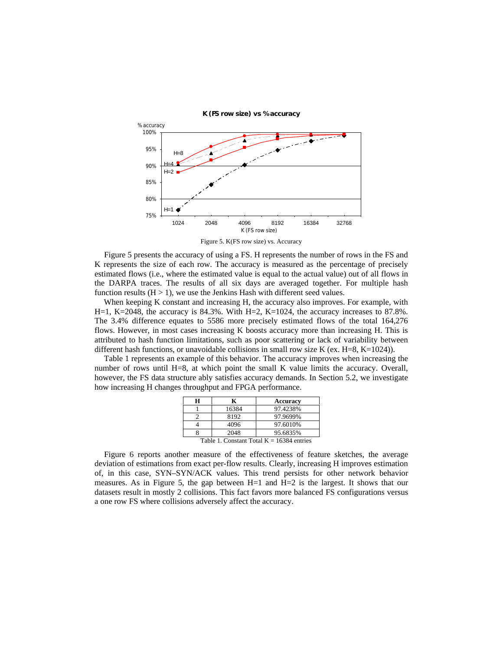

Figure 5. K(FS row size) vs. Accuracy

Figure 5 presents the accuracy of using a FS. H represents the number of rows in the FS and K represents the size of each row. The accuracy is measured as the percentage of precisely estimated flows (i.e., where the estimated value is equal to the actual value) out of all flows in the DARPA traces. The results of all six days are averaged together. For multiple hash function results  $(H > 1)$ , we use the Jenkins Hash with different seed values.

When keeping K constant and increasing H, the accuracy also improves. For example, with  $H=1$ ,  $K=2048$ , the accuracy is 84.3%. With  $H=2$ ,  $K=1024$ , the accuracy increases to 87.8%. The 3.4% difference equates to 5586 more precisely estimated flows of the total 164,276 flows. However, in most cases increasing K boosts accuracy more than increasing H. This is attributed to hash function limitations, such as poor scattering or lack of variability between different hash functions, or unavoidable collisions in small row size K (ex.  $H=8$ ,  $K=1024$ )).

Table 1 represents an example of this behavior. The accuracy improves when increasing the number of rows until H=8, at which point the small K value limits the accuracy. Overall, however, the FS data structure ably satisfies accuracy demands. In Section 5.2, we investigate how increasing H changes throughput and FPGA performance.

| Н                                           |       | Accuracy |  |  |
|---------------------------------------------|-------|----------|--|--|
|                                             | 16384 | 97.4238% |  |  |
|                                             | 8192  | 97.9699% |  |  |
|                                             | 4096  | 97.6010% |  |  |
|                                             | 2048  | 95.6835% |  |  |
| Table 1. Constant Total $K = 16384$ entries |       |          |  |  |

Figure 6 reports another measure of the effectiveness of feature sketches, the average deviation of estimations from exact per-flow results. Clearly, increasing H improves estimation of, in this case, SYN–SYN/ACK values. This trend persists for other network behavior measures. As in Figure 5, the gap between  $H=1$  and  $H=2$  is the largest. It shows that our datasets result in mostly 2 collisions. This fact favors more balanced FS configurations versus a one row FS where collisions adversely affect the accuracy.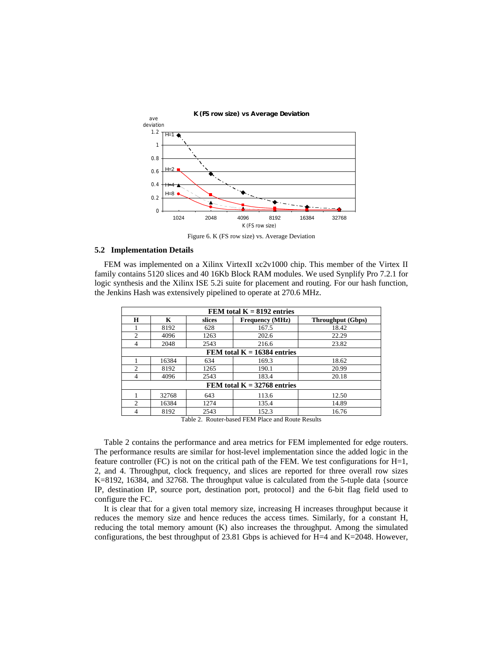

Figure 6. K (FS row size) vs. Average Deviation

### **5.2 Implementation Details**

 FEM was implemented on a Xilinx VirtexII xc2v1000 chip. This member of the Virtex II family contains 5120 slices and 40 16Kb Block RAM modules. We used Synplify Pro 7.2.1 for logic synthesis and the Xilinx ISE 5.2i suite for placement and routing. For our hash function, the Jenkins Hash was extensively pipelined to operate at 270.6 MHz.

| FEM total $K = 8192$ entries  |       |        |                        |                          |  |
|-------------------------------|-------|--------|------------------------|--------------------------|--|
| н                             | K     | slices | <b>Frequency</b> (MHz) | <b>Throughput</b> (Gbps) |  |
|                               | 8192  | 628    | 167.5                  | 18.42                    |  |
| 2                             | 4096  | 1263   | 202.6                  | 22.29                    |  |
| 4                             | 2048  | 2543   | 216.6                  | 23.82                    |  |
| FEM total $K = 16384$ entries |       |        |                        |                          |  |
|                               | 16384 | 634    | 169.3                  | 18.62                    |  |
| $\overline{c}$                | 8192  | 1265   | 190.1                  | 20.99                    |  |
| $\overline{4}$                | 4096  | 2543   | 183.4                  | 20.18                    |  |
| FEM total $K = 32768$ entries |       |        |                        |                          |  |
|                               | 32768 | 643    | 113.6                  | 12.50                    |  |
| $\mathcal{D}$                 | 16384 | 1274   | 135.4                  | 14.89                    |  |
| 4                             | 8192  | 2543   | 152.3                  | 16.76                    |  |

Table 2. Router-based FEM Place and Route Results

 Table 2 contains the performance and area metrics for FEM implemented for edge routers. The performance results are similar for host-level implementation since the added logic in the feature controller (FC) is not on the critical path of the FEM. We test configurations for H=1, 2, and 4. Throughput, clock frequency, and slices are reported for three overall row sizes K=8192, 16384, and 32768. The throughput value is calculated from the 5-tuple data {source} IP, destination IP, source port, destination port, protocol} and the 6-bit flag field used to configure the FC.

 It is clear that for a given total memory size, increasing H increases throughput because it reduces the memory size and hence reduces the access times. Similarly, for a constant H, reducing the total memory amount (K) also increases the throughput. Among the simulated configurations, the best throughput of 23.81 Gbps is achieved for H=4 and K=2048. However,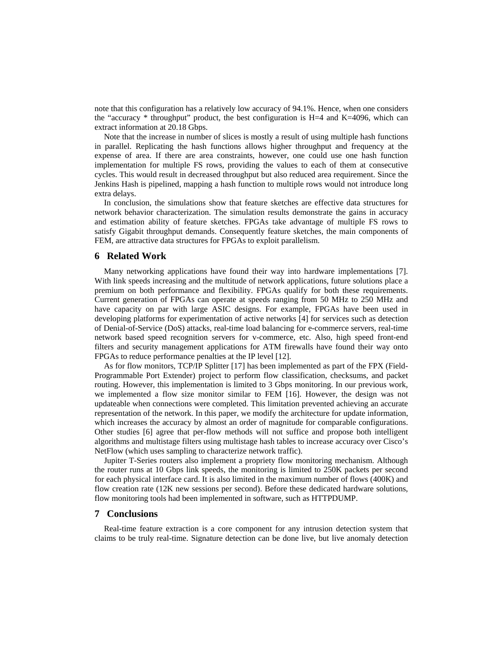note that this configuration has a relatively low accuracy of 94.1%. Hence, when one considers the "accuracy  $*$  throughput" product, the best configuration is  $H=4$  and  $K=4096$ , which can extract information at 20.18 Gbps.

 Note that the increase in number of slices is mostly a result of using multiple hash functions in parallel. Replicating the hash functions allows higher throughput and frequency at the expense of area. If there are area constraints, however, one could use one hash function implementation for multiple FS rows, providing the values to each of them at consecutive cycles. This would result in decreased throughput but also reduced area requirement. Since the Jenkins Hash is pipelined, mapping a hash function to multiple rows would not introduce long extra delays.

 In conclusion, the simulations show that feature sketches are effective data structures for network behavior characterization. The simulation results demonstrate the gains in accuracy and estimation ability of feature sketches. FPGAs take advantage of multiple FS rows to satisfy Gigabit throughput demands. Consequently feature sketches, the main components of FEM, are attractive data structures for FPGAs to exploit parallelism.

### **6 Related Work**

Many networking applications have found their way into hardware implementations [7]. With link speeds increasing and the multitude of network applications, future solutions place a premium on both performance and flexibility. FPGAs qualify for both these requirements. Current generation of FPGAs can operate at speeds ranging from 50 MHz to 250 MHz and have capacity on par with large ASIC designs. For example, FPGAs have been used in developing platforms for experimentation of active networks [4] for services such as detection of Denial-of-Service (DoS) attacks, real-time load balancing for e-commerce servers, real-time network based speed recognition servers for v-commerce, etc. Also, high speed front-end filters and security management applications for ATM firewalls have found their way onto FPGAs to reduce performance penalties at the IP level [12].

As for flow monitors, TCP/IP Splitter [17] has been implemented as part of the FPX (Field-Programmable Port Extender) project to perform flow classification, checksums, and packet routing. However, this implementation is limited to 3 Gbps monitoring. In our previous work, we implemented a flow size monitor similar to FEM [16]. However, the design was not updateable when connections were completed. This limitation prevented achieving an accurate representation of the network. In this paper, we modify the architecture for update information, which increases the accuracy by almost an order of magnitude for comparable configurations. Other studies [6] agree that per-flow methods will not suffice and propose both intelligent algorithms and multistage filters using multistage hash tables to increase accuracy over Cisco's NetFlow (which uses sampling to characterize network traffic).

Jupiter T-Series routers also implement a propriety flow monitoring mechanism. Although the router runs at 10 Gbps link speeds, the monitoring is limited to 250K packets per second for each physical interface card. It is also limited in the maximum number of flows (400K) and flow creation rate (12K new sessions per second). Before these dedicated hardware solutions, flow monitoring tools had been implemented in software, such as HTTPDUMP.

### **7 Conclusions**

Real-time feature extraction is a core component for any intrusion detection system that claims to be truly real-time. Signature detection can be done live, but live anomaly detection